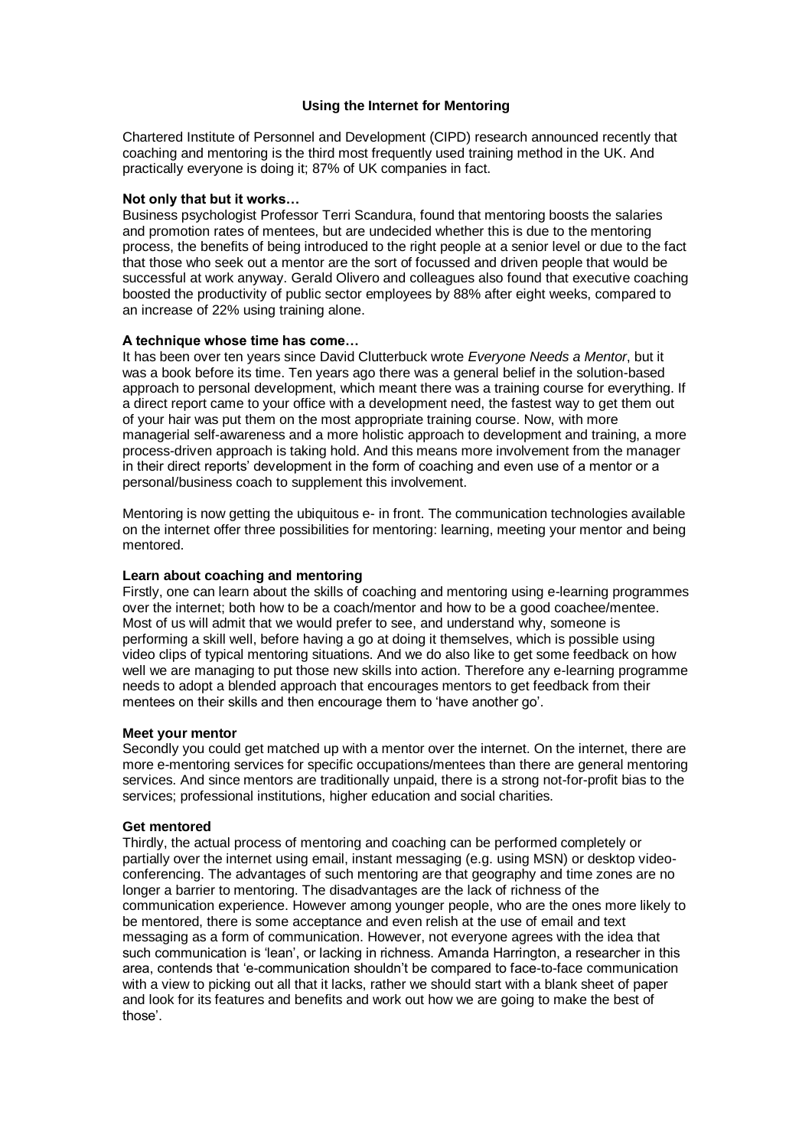# **Using the Internet for Mentoring**

Chartered Institute of Personnel and Development (CIPD) research announced recently that coaching and mentoring is the third most frequently used training method in the UK. And practically everyone is doing it; 87% of UK companies in fact.

### **Not only that but it works…**

Business psychologist Professor Terri Scandura, found that mentoring boosts the salaries and promotion rates of mentees, but are undecided whether this is due to the mentoring process, the benefits of being introduced to the right people at a senior level or due to the fact that those who seek out a mentor are the sort of focussed and driven people that would be successful at work anyway. Gerald Olivero and colleagues also found that executive coaching boosted the productivity of public sector employees by 88% after eight weeks, compared to an increase of 22% using training alone.

### **A technique whose time has come…**

It has been over ten years since David Clutterbuck wrote *Everyone Needs a Mentor*, but it was a book before its time. Ten years ago there was a general belief in the solution-based approach to personal development, which meant there was a training course for everything. If a direct report came to your office with a development need, the fastest way to get them out of your hair was put them on the most appropriate training course. Now, with more managerial self-awareness and a more holistic approach to development and training, a more process-driven approach is taking hold. And this means more involvement from the manager in their direct reports' development in the form of coaching and even use of a mentor or a personal/business coach to supplement this involvement.

Mentoring is now getting the ubiquitous e- in front. The communication technologies available on the internet offer three possibilities for mentoring: learning, meeting your mentor and being mentored.

# **Learn about coaching and mentoring**

Firstly, one can learn about the skills of coaching and mentoring using e-learning programmes over the internet; both how to be a coach/mentor and how to be a good coachee/mentee. Most of us will admit that we would prefer to see, and understand why, someone is performing a skill well, before having a go at doing it themselves, which is possible using video clips of typical mentoring situations. And we do also like to get some feedback on how well we are managing to put those new skills into action. Therefore any e-learning programme needs to adopt a blended approach that encourages mentors to get feedback from their mentees on their skills and then encourage them to 'have another go'.

#### **Meet your mentor**

Secondly you could get matched up with a mentor over the internet. On the internet, there are more e-mentoring services for specific occupations/mentees than there are general mentoring services. And since mentors are traditionally unpaid, there is a strong not-for-profit bias to the services; professional institutions, higher education and social charities.

#### **Get mentored**

Thirdly, the actual process of mentoring and coaching can be performed completely or partially over the internet using email, instant messaging (e.g. using MSN) or desktop videoconferencing. The advantages of such mentoring are that geography and time zones are no longer a barrier to mentoring. The disadvantages are the lack of richness of the communication experience. However among younger people, who are the ones more likely to be mentored, there is some acceptance and even relish at the use of email and text messaging as a form of communication. However, not everyone agrees with the idea that such communication is 'lean', or lacking in richness. Amanda Harrington, a researcher in this area, contends that 'e-communication shouldn't be compared to face-to-face communication with a view to picking out all that it lacks, rather we should start with a blank sheet of paper and look for its features and benefits and work out how we are going to make the best of those'.